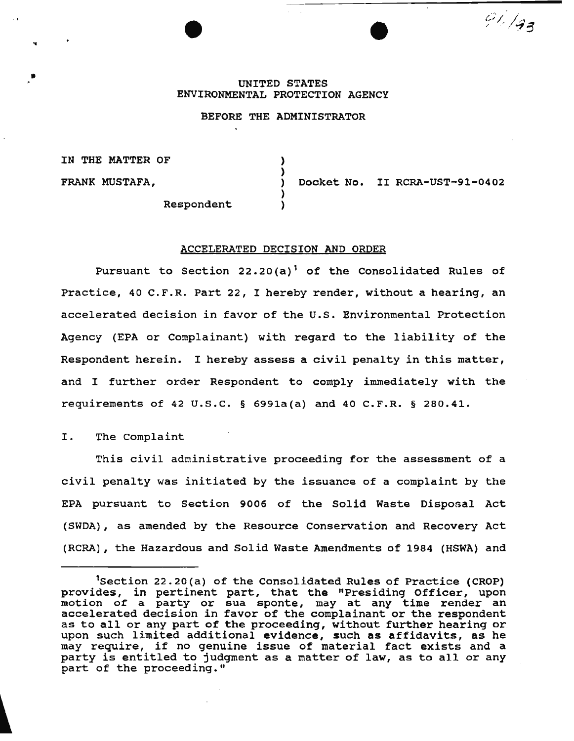# UNITED STATES ENVIRONMENTAL PROTECTION AGENCY

## BEFORE THE ADMINISTRATOR

) )

)

IN THE MATTER OF

FRANK MUSTAFA,

..

•

) Docket No. II RCRA-UST-91-0402

91.193

**Respondent** 

#### ACCELERATED DECISION AND ORDER

Pursuant to Section 22.20(a)<sup>1</sup> of the Consolidated Rules of Practice, 40 C.F.R. Part 22, I hereby render, without a hearing, an accelerated decision in favor of the u.s. Environmental Protection Agency (EPA or Complainant) with regard to the liability of the Respondent herein. I hereby assess a civil penalty in this matter, and I further order Respondent to comply immediately with the requirements of 42 u.s.c. § 6991a(a) and 40 C.F.R. § 280.41.

I. The Complaint

This civil administrative proceeding for the assessment of a civil penalty was initiated by the issuance of a complaint by the EPA pursuant to Section 9006 of the Solid Waste Disposal Act (SWDA), as amended by the Resource Conservation and Recovery Act (RCRA) , the Hazardous and Solid Waste Amendments of 1984 (HSWA) and

<sup>&</sup>lt;sup>1</sup>Section 22.20(a) of the Consolidated Rules of Practice (CROP) provides, in pertinent part, that the "Presiding Officer, upon provides, in pertinent part, that the Fresiding Officer, upon<br>motion of a party or sua sponte, may at any time render an accelerated decision in favor of the complainant or the respondent as to all or any part of the proceeding, without further hearing or. upon such limited additional evidence, such as affidavits, as he may require, if no genuine issue of material fact exists and a party is entitled to judgment as a matter of law, as to all or any part of the proceeding."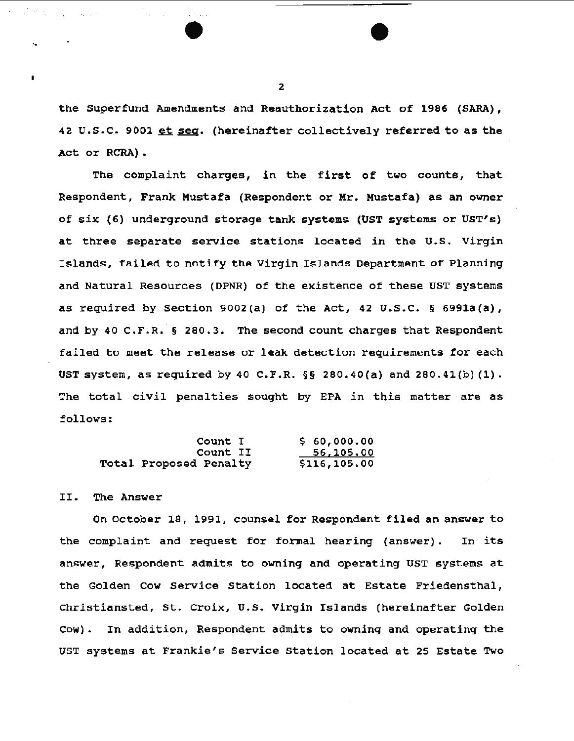the Superfund Amendments and Reauthorization Act of 1986 (SARA), 42 U.S.C. 9001 et seq. (hereinafter collectively referred to as the Act or RCRA).

The complaint charges, in the first of two counts, that Respondent, Frank Mustafa (Respondent or Mr. Mustafa) as an owner of six (6) underground storage tank systems (UST systems or UST's) at three separate service stations located in the U.s. Virgin Islands, failed to notify the Virgin Islands Department of Planning and Natural Resources (DPNR) of the existence of these UST systems as required by section 9002(a) of the Act, 42 u.s.c. § 6991a(a), and by 40 C.F.R.  $\S$  280.3. The second count charges that Respondent failed to meet the release or leak detection requirements for each UST system, as required by 40 C.F.R. §§ 280.40(a) and 280.41(b) {1). The total civil penalties sought by EPA in this matter are as follows:

| Count I                       | \$60,000.00  |
|-------------------------------|--------------|
| Count II                      | 56,105.00    |
| <b>Total Proposed Penalty</b> | \$116,105.00 |

### II. The Answer

On October 18, 1991, counsel for Respondent filed an answer to the complaint and request for formal hearing (answer). In its answer, Respondent admits to owning and operating UST systems at the Golden Cow service station located at Estate Friedensthal, Christiansted, St. croix, u.s. Virgin Islands (hereinafter Golden Cow). In addition, Respondent admits to owning and operating the UST systems at Frankie's Service Station located at 25 Estate Two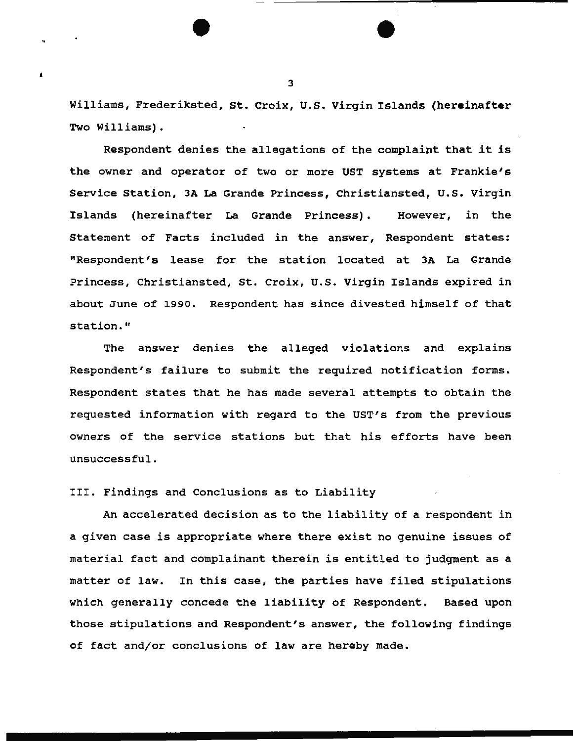Williams, Frederiksted, st. Croix, u.s. Virgin Islands (hereinafter Two Williams).

Respondent denies the allegations of the complaint that it is the owner and operator of two or more UST systems at Frankie's Service Station, 3A La Grande Princess, Christiansted, U.S. Virgin Islands (hereinafter La Grande Princess). However, in the Statement of Facts included in the answer, Respondent states: "Respondent's lease for the station located at JA La Grande Princess, Christiansted, St. Croix, u.s. Virgin Islands expired in about June of 1990. Respondent has since divested himself of that station."

The answer denies the alleged violations and explains Respondent's failure to submit the required notification forms. Respondent states that he has made several attempts to obtain the requested information with regard to the UST's from the previous owners of the service stations but that his efforts have been unsuccessful.

III. Findings and Conclusions as to Liability

An accelerated decision as to the liability of a respondent in a given case is appropriate where there exist no genuine issues of material fact and complainant therein is entitled to judgment as a matter of law. In this case, the parties have filed stipulations which generally concede the liability of Respondent. Based upon those stipulations and Respondent's answer, the following findings of fact and/or conclusions of law are hereby made.

 $\sim$  3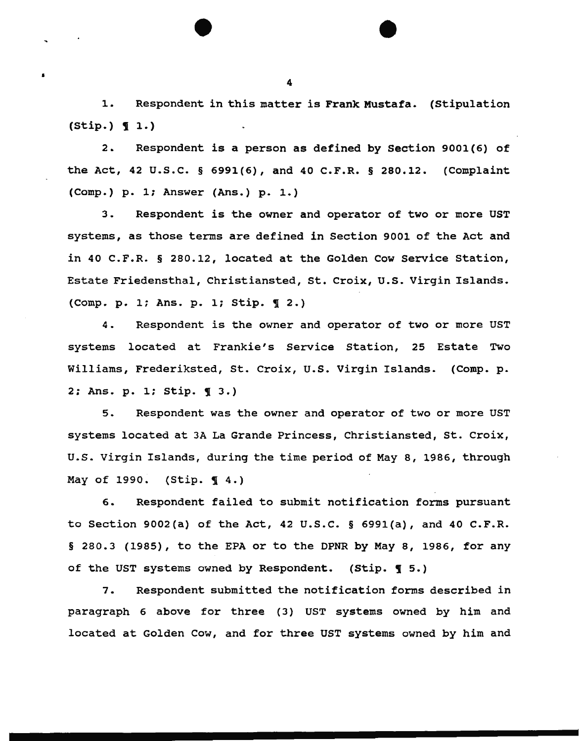1. Respondent in this matter is Frank Mustafa. (Stipulation  $(String.) \t1.)$ 

2. Respondent is a person as defined by section 9001(6) of the Act, 42 u.s.c. § 6991(6), and 40 C.F.R. § 280.12. (Complaint (Comp.) p. 1; Answer (Ans.) p. 1.)

3. Respondent is the owner and operator of two or more UST systems, as those terms are defined in Section 9001 of the Act and *in* 40 C.F.R. § 280.12, located at the Golden Cow Service Station, Estate Friedensthal, Christiansted, St. Croix, U.S. Virgin Islands.  $(Comp. p. 1; Ans. p. 1; Stip.  $9$$ 

4. Respondent is the owner and operator of two or more UST systems located at Frankie's Service Station, 25 Estate Two Williams, Frederiksted, St. Croix, u.s. Virgin Islands. (Comp. p. 2: Ans. p. 1; Stip. **q** 3.)

5. Respondent was the owner and operator of two or more UST systems located at 3A La Grande Princess, Christiansted, St. Croix, U.S. Virgin Islands, during the time period of May 8, 1986, through May of 1990. (Stip. **14.)** 

6. Respondent failed to submit notification forms pursuant to Section 9002(a) of the Act, 42 u.s.c. § 6991(a), and 40 C.F.R. § 280.3 (1985), to the EPA or to the DPNR by May 8, 1986, for any of the UST systems owned by Respondent. (Stip.  $\P$  5.)

7. Respondent submitted the notification forms described in paragraph 6 above for three (3) UST systems owned by him and located at Golden Cow, and for three UST systems owned by him and

4

I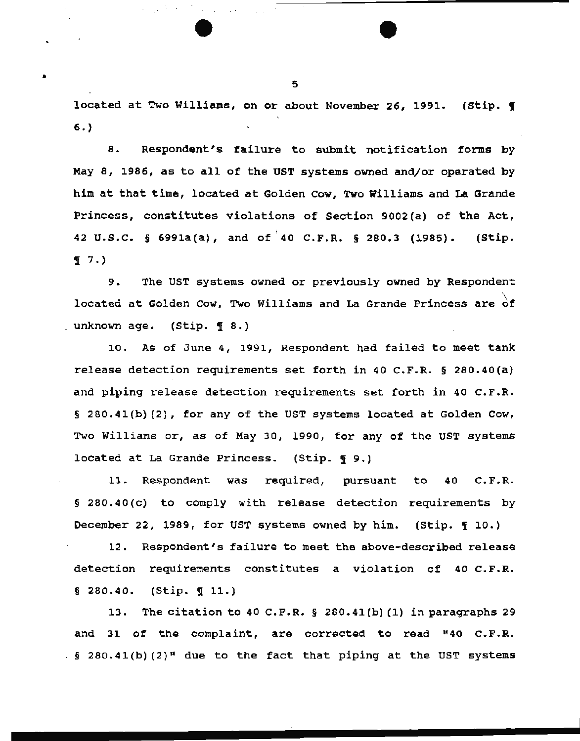located at Two Williams, on or about November 26, 1991. (Stip. 1 6.)

8. Respondent's failure to submit notification forms by May 8, 1986, as to all of the UST systems owned and/or operated by him at that time, located at Golden cow, Two Williams and La Grande Princess, constitutes violations of Section 9002(a) of the Act, ( 42 u.s.c. § 6991a(a), and of 40 C.F.R. § 280.3 (1985). (Stip.  $\P 7.$ 

9. The UST systems owned or previously owned by Respondent located at Golden Cow, Two Williams and La Grande Princess are  $\overrightarrow{of}$ unknown age. (Stip. 1 8.)

10. As of June 4, 1991, Respondent had failed to meet tank release detection requirements set forth in 40 C.F.R. § 280.40(a) and piping release detection requirements set forth in 40 C.F.R. § 280.41(b)(2), for any of the UST systems located at Golden Cow, Two Williams or, as of May 30, 1990, for any of the UST systems located at La Grande Princess. (Stip.  $\P$  9.)

11. Respondent was required, pursuant to 40 C.F.R. § 280.40(c) to comply with release detection requirements by December 22, 1989, for UST systems owned by him. (Stip.  $\mathbb{I}$  10.)

12. Respondent's failure to meet the above-described release detection requirements constitutes a violation of 40 c.F.R.  $§ 280.40.$  (Stip.  $\P 11.$ )

13. The citation to 40 C.P.R. § 280.41(b) (1) in paragraphs 29 and 31 of the complaint, are corrected to read "40 c.F.R.  $\frac{1}{2}$  280.41(b)(2)<sup>#</sup> due to the fact that piping at the UST systems

5

•

*:.* 

•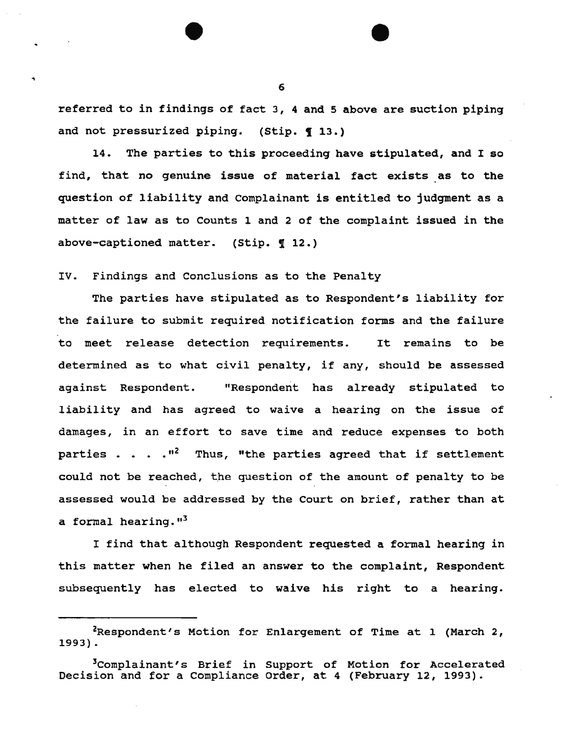referred to in findings of fact 3, 4 and 5 above are suction piping and not pressurized piping. (Stip.  $\P$  13.)

14. The parties to this proceeding have stipulated, and I so find, that no genuine issue of material fact exists as to the question of liability and Complainant is entitled to judgment as a matter of law as to Counts 1 and 2 of the complaint issued in the above-captioned matter. (Stip.  $\P$  12.)

IV. Findings and Conclusions as to the Penalty

The parties have stipulated as to Respondent's liability for the failure to submit required notification forms and the failure to meet release detection requirements. It remains to be determined as to what civil penalty, if any, should be assessed against Respondent. "Respondent has already stipulated to liability and has agreed to waive a hearing on the issue of damages, in an effort to save time and reduce expenses to both parties  $\ldots$   $\ldots$   $\binom{n^2}{k}$  Thus, "the parties agreed that if settlement could not be reached, the question of the amount of penalty to be assessed would be addressed by the Court on brief, rather than at a formal hearing."<sup>3</sup>

I find that although Respondent requested a formal hearing in this matter when he filed an answer to the complaint, Respondent subsequently has elected to waive his right to a hearing.

 $2$ Respondent's Motion for Enlargement of Time at 1 (March 2, 1993) .

<sup>&</sup>lt;sup>3</sup>Complainant's Brief in Support of Motion for Accelerated Decision and for a Compliance Order, at 4 (February 12, 1993).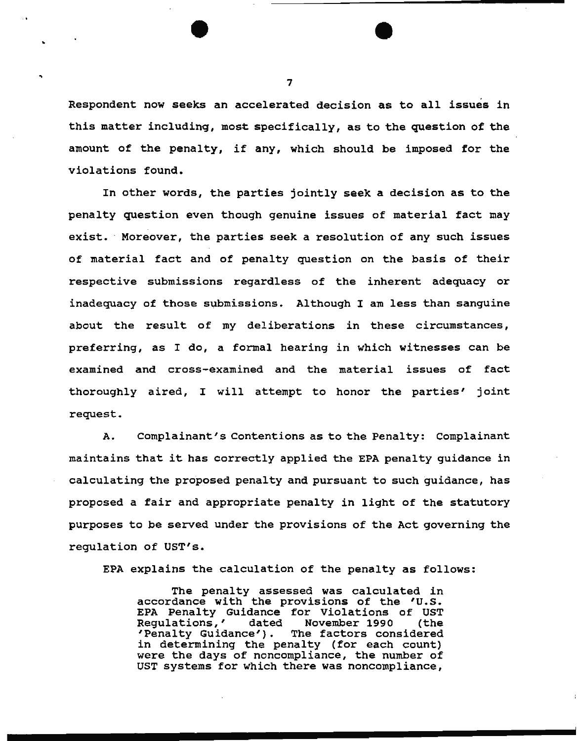Respondent now seeks an accelerated decision as to all issues in this matter including, most specifically, as to the question of the amount of the penalty, if any, which should be imposed for the violations found.

In other words, the parties jointly seek a decision as to the penalty question even though genuine issues of material fact may exist. Moreover, the parties seek a resolution of any such issues of material fact and of penalty question on the basis of their respective submissions regardless of the inherent adequacy or inadequacy of those submissions. Although I am less than sanguine about the result of my deliberations in these circumstances, preferring, as I do, a formal hearing in which witnesses can be examined and cross-examined and the material issues of fact thoroughly aired, I will attempt to honor the parties' joint request.

A. Complainant's Contentions as to the Penalty: Complainant maintains that it has correctly applied the EPA penalty guidance in calculating the proposed penalty and pursuant to such guidance, has proposed a fair and appropriate penalty in light of the statutory purposes to be served under the provisions of the Act governing the regulation of UST's.

EPA explains the calculation of the penalty as follows:

The penalty assessed was calculated in accordance with the provisions of the 'U.s. EPA Penalty Guidance for Violations of UST Regulations,' dated November 1990 (the<br>'Penalty Guidance'). The factors considered The factors considered in determining the penalty (for each count) were the days of noncompliance, the number of UST systems for which there was noncompliance,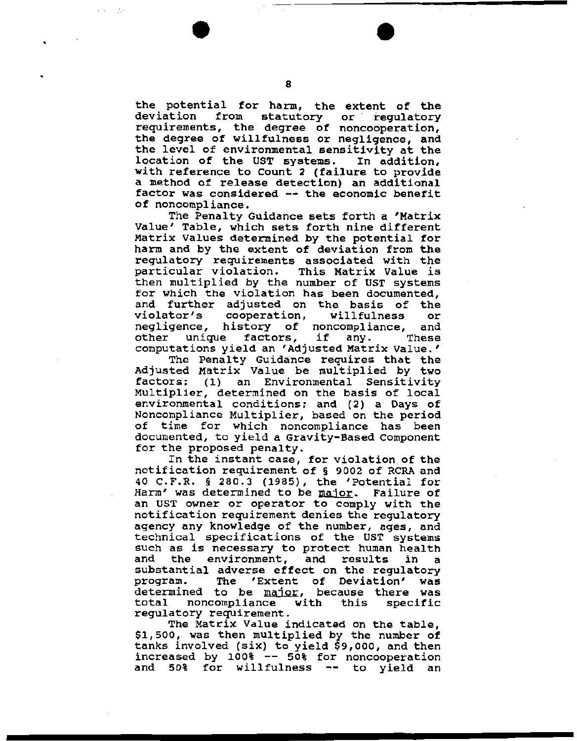8

the potential for harm, the extent of the<br>deviation from statutory or requlatory statutory requirements, the degree of noncooperation, the degree of willfulness or negligence, and the level of environmental sensitivity at the location of the UST systems. In addition, location of the UST systems. with reference to Count 2 (failure to provide a method of release detection) an additional factor was considered -- the economic benefit of noncompliance.

The Penalty Guidance sets forth a 'Matrix Value' Table, which sets forth nine different Matrix Values determined by the potential for harm and by the extent of deviation from the regulatory requirements associated with the<br>particular violation. This Matrix Value is particular violation. then multiplied by the number of UST systems for which the violation has been documented, and further adjusted on the basis of the cooperation, willfulness or<br>history of noncompliance. and negligence, history of noncompliance, and<br>other unique factors, if any. These other unique factors, if any. computations yield an 'Adjusted Matrix Value.'

The Penalty Guidance requires that the Adjusted Matrix Value be multiplied by two factors: (1) an Environmental Sensitivity Multiplier, determined on the basis of local environmental conditions; and (2) a Days of Noncompliance Multiplier, based on the period of time for which noncompliance has been documented, to yield a Gravity-Based component for the proposed penalty.

In the instant case, for violation of the notification requirement of § 9002 of RCRA and 40 C.F.R. § 280.3 (1985), the 'Potential for Harm' was determined to be major. Failure of an UST owner or operator to comply with the notification requirement denies the regulatory agency any knowledge of the number, ages, and technical specifications of the UST systems such as is necessary to protect human health<br>and the environment, and results in a the environment, and results in a substantial adverse effect on the regulatory<br>program. The 'Extent of Deviation' was The 'Extent of Deviation' was determined to be major, because there was determined to be  $\frac{\ln(1+\epsilon)}{\ln(1+\epsilon)}$ , because there was total noncompliance with<br>regulatory requirement.

The Matrix Value indicated on the table, \$1,500, was then multiplied by the number of tanks involved (six) to yield \$9,000, and then increased by 100% -- 50% for noncooperation and 50% for willfulness -- to yield an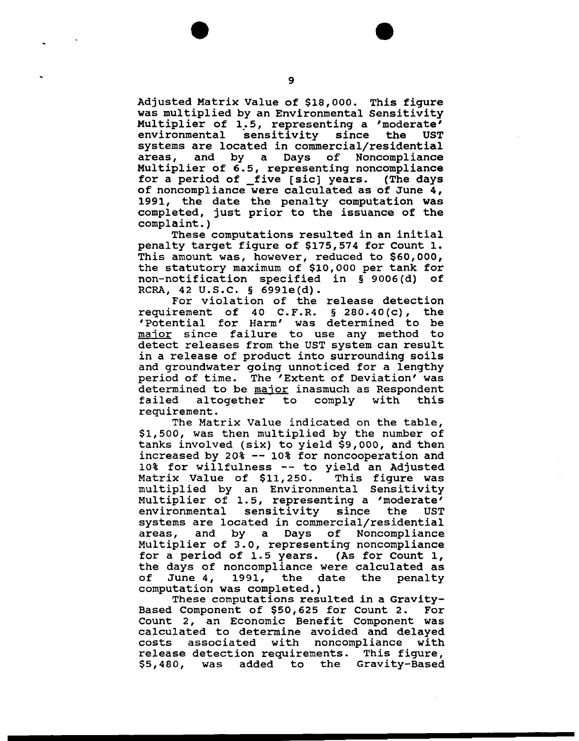Adjusted Matrix Value of \$18,000. This figure was multiplied by an Environmental Sensitivity Multiplier of 1.5, representing a 'moderate' environmental sensitivity since the UST environmental sensitivity since the UST<br>systems are located in commercial/residential<br>areas, and by a Days of Noncompliance and by a Days of Noncompliance Multiplier of 6.5, representing noncompliance for a period of five [sic] years. (The days of noncompliance were calculated as of June 4, 1991, the date the penalty computation was completed, just prior to the issuance of the complaint. )

These computations resulted in an initial penalty target figure of \$175,574 for Count 1. This amount was, however, reduced to \$60,000, the statutory maximum of \$10,000 per tank for non-notification specified in § 9006(d) of RCRA, 42 U.S.C. § 6991e(d).

For violation of the release detection<br>rement of 40 C.F.R. & 280.40(c), the requirement of 40 C.F.R.  $\S$  280.40(c), 'Potential for Harm' was determined to be major since failure to use any method to detect releases from the UST system can result in a release of product into surrounding soils and groundwater going unnoticed for a lengthy period of time. The 'Extent of Deviation' was person of comparison and shown of sovietime and decernance to be  $\frac{\text{max}}{\text{max}}$  indimed as respondence failed altogether to<br>requirement.

The Matrix Value indicated on the table, \$1,500, was then multiplied by the number of tanks involved (six) to yield \$9,000, and then increased by 20% -- 10% for noncooperation and 10% for willfulness -- to yield an Adjusted Matrix Value of \$11,250. multiplied by an Environmental Sensitivity Multiplier of 1.5, representing a 'moderate' environmental sensitivity since the UST systems are located in commercial/residential areas, and by a Days of Noncompliance Multiplier of 3.0, representing noncompliance for a period of 1.5 years. (As for Count 1, the days of noncompliance were calculated as<br>of June 4, 1991, the date the penalty 1991, the date the penalty computation was completed.)

These computations resulted in a Gravity-Based Component of \$50,625 for count 2. For Count 2, an Economic Benefit Component was calculated to determine avoided and delayed costs associated with noncompliance release detection requirements. This figure,<br>\$5,480, was added to the Gravity-Based was added to the Gravity-Based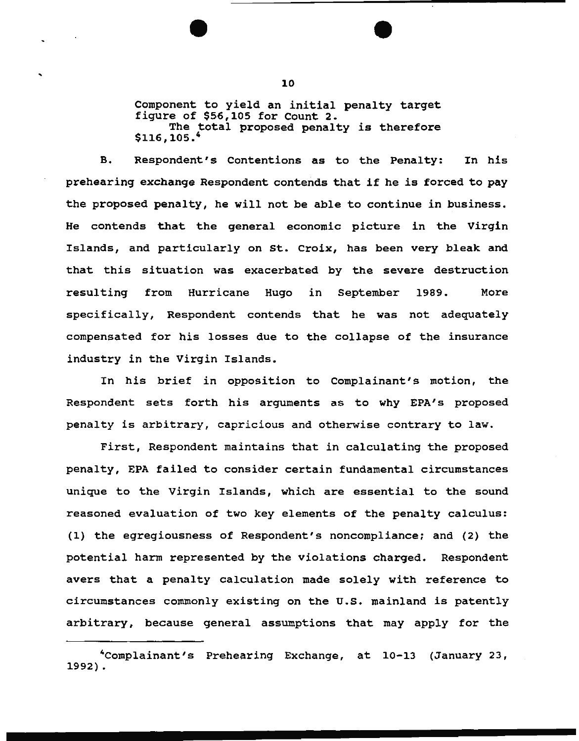Component to yield an initial penalty target figure of \$56,105 for count 2. The total proposed penalty is therefore  $$116.105.^4$ 

B. Respondent's Contentions as to the Penalty: In his prehearing exchange Respondent contends that if he is forced to pay the proposed penalty, he will not be able to continue in business. He contends that the general economic picture in the Virgin Islands, and particularly on st. Croix, has been very bleak and that this situation was exacerbated by the severe destruction resulting from Hurricane Hugo in September 1989. More specifically, Respondent contends that he was not adequately compensated for his losses due to the collapse of the insurance industry in the Virgin Islands.

In his brief in opposition to Complainant's motion, the Respondent sets forth his arguments as to why EPA's proposed penalty is arbitrary, capricious and otherwise contrary to law.

First, Respondent maintains that in calculating the proposed penalty, EPA failed to consider certain fundamental circumstances unique to the Virgin Islands, which are essential to the sound reasoned evaluation of two key elements of the penalty calculus: (1) the egregiousness of Respondent's noncompliance; and (2) the potential harm represented by the violations charged. Respondent avers that a penalty calculation made solely with reference to circumstances commonly existing on the U.S. mainland is patently arbitrary, because general assumptions that may apply for the

<sup>4</sup>Complainant's Prehearing Exchange, at 10-13 (January 23, 1992) .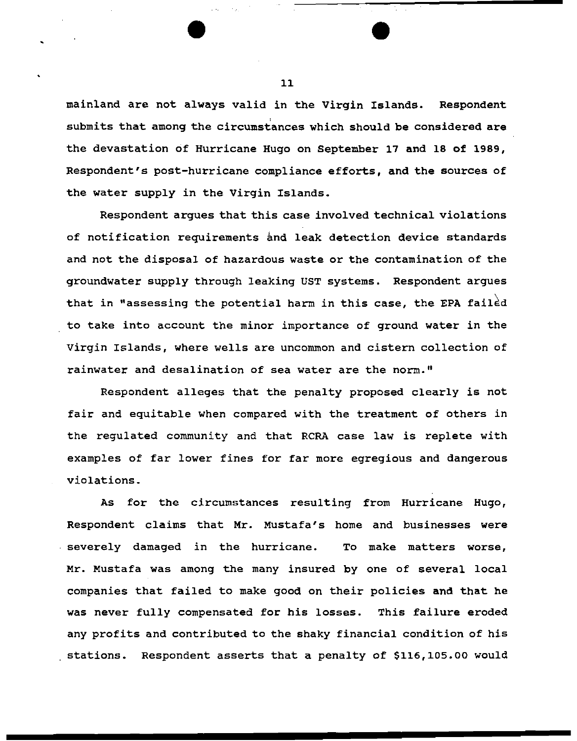mainland are not always valid in the Virgin Islands. Respondent submits that among the circumstances which should be considered are the devastation of Hurricane Hugo on September 17 and 18 of 1989, Respondent's post-hurricane compliance efforts, and the sources of the water supply in the Virgin Islands.

Respondent argues that this case involved technical violations of notification requirements and leak detection device standards and not the disposal of hazardous waste or the contamination of the groundwater supply through leaking UST systems. Respondent argues that in "assessing the potential harm in this case, the EPA failed to take into account the minor importance of ground water in the Virgin Islands, where wells are uncommon and cistern collection of rainwater and desalination of sea water are the norm."

Respondent alleges that the penalty proposed clearly is not fair and equitable when compared with the treatment of others in the regulated community and that RCRA case law is replete with examples of far lower fines for far more egregious and dangerous violations.

As for the circumstances resulting from Hurricane Hugo, Respondent claims that Mr. Mustafa's home and businesses were severely damaged in the hurricane. To make matters worse, Mr. Mustafa was among the many insured by one of several local companies that failed to make good on their policies and that he was never fully compensated for his losses. This failure eroded any profits and contributed to the shaky financial condition of his stations. Respondent asserts that a penalty of \$116,105.00 would

11

..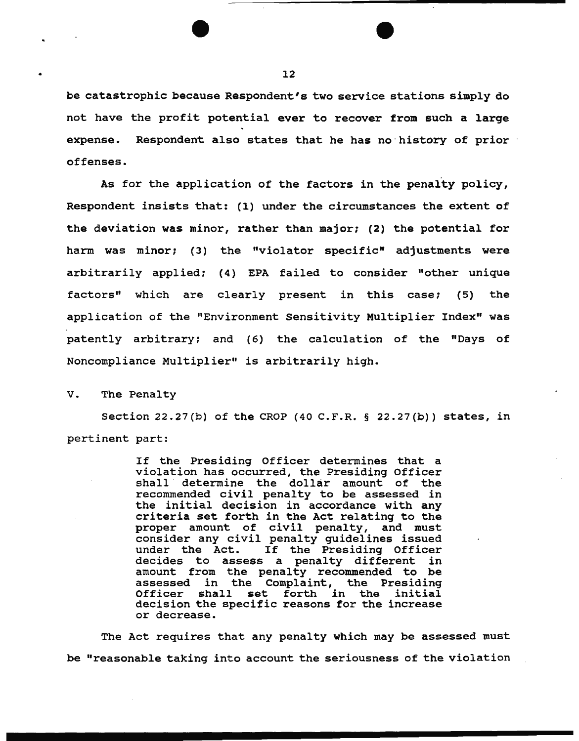be catastrophic because Respondent's two service stations simply do not have the profit potential ever to recover from such a large expense. Respondent also states that he has no·history of prior offenses.

As for the application of the factors in the penalty policy, Respondent insists that: (1) under the circumstances the extent of the deviation was minor, rather than major; (2) the potential for harm was minor; (3) the "violator specific" adjustments were arbitrarily applied; {4) EPA failed to consider "other unique factors" which are clearly present in this case; (5) the application of the "Environment Sensitivity Multiplier Index" was patently arbitrary; and (6) the calculation of the "Days of Noncompliance Multiplier" is arbitrarily high.

## V. The Penalty

Section 22.27(b) of the CROP (40 C.F.R. § 22.27(b)) states, in pertinent part:

> If the Presiding Officer determines that a violation has. occurred, the Presiding Officer shall determine the dollar amount of the recommended civil penalty to be assessed in the initial decision in accordance with any criteria set forth in the Act relating to the proper amount of civil penalty, and must consider any civil penalty guidelines issued under the Act. If the Presiding Officer decides to assess a penalty different in amount from the penalty recommended to be assessed in the Complaint, the Presiding<br>Officer shall set forth in the initial set forth in the initial decision the specific reasons for the increase or decrease.

The Act requires that any penalty which may be assessed must be "reasonable taking into account the seriousness of the violation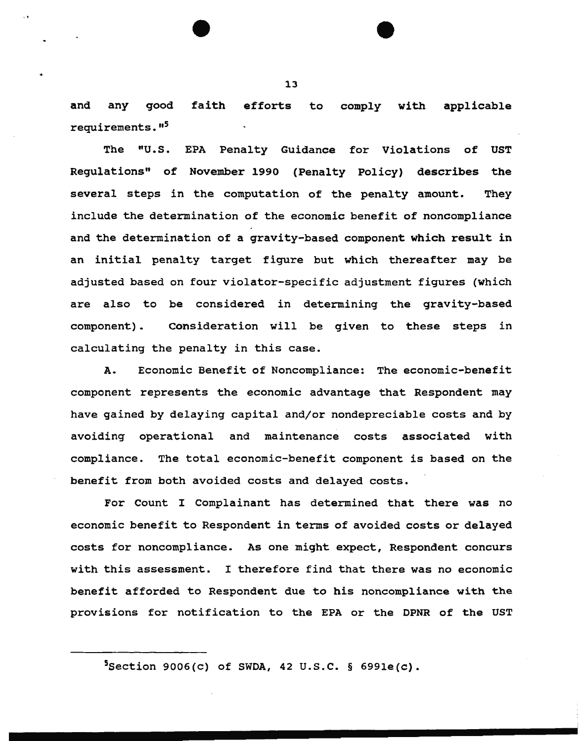and any good faith efforts to comply with applicable requirements."<sup>5</sup>

The "U.S. EPA Penalty Guidance for Violations of Regulations" of November 1990 (Penalty Policy) d<mark>escrib</mark>es the several steps in the computation of the penalty amount. UST They include the determination of the economic benefit of noncompliance and the determination of a gravity-based component which result in an initial penalty target figure but which thereafter may be adjusted based on four violator-specific adjustment figures (which are also to be considered in determining the gravity-based component). Consideration will be given to these steps in calculating the penalty in this case.

A. Economic Benefit of Noncompliance: The economic-benefit component represents the economic advantage that Respondent may have gained by delaying capital and/or nondepreciable costs and by avoiding operational and maintenance costs associated with compliance. The total economic-benefit component is based on the benefit from both avoided costs and delayed costs.

For Count I Complainant has determined that there was no economic benefit to Respondent in terms of avoided costs or delayed costs for noncompliance. As one might expect, Respondent concurs with this assessment. I therefore find that there was no economic benefit afforded to Respondent due to his noncompliance with the provisions for notification to the EPA or the DPNR of the UST

·. •

 $5$ Section 9006(c) of SWDA, 42 U.S.C. § 6991e(c).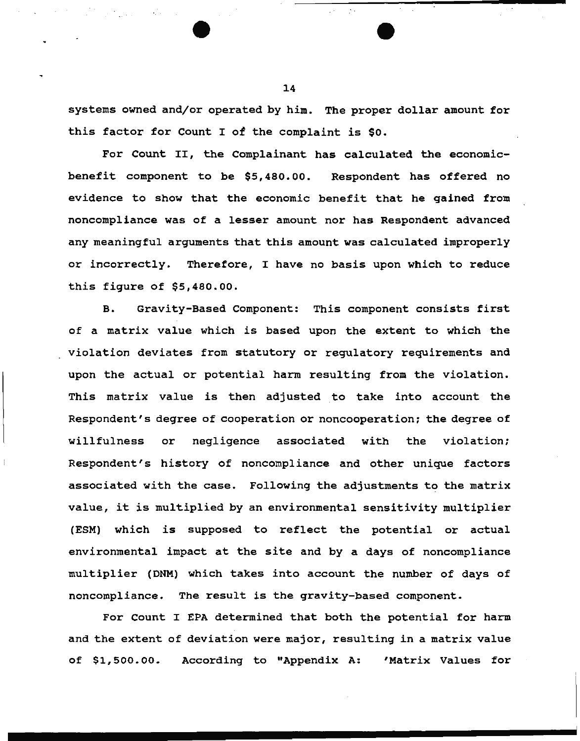systems owned and/or operated by him. The proper dollar amount for this factor for Count I of the complaint is \$0.

For Count II, the Complainant has calculated the economicbenefit component to be \$5,480.00. Respondent has offered no evidence to show that the economic benefit that he gained from noncompliance was of a lesser amount nor has Respondent advanced any meaningful arguments that this amount was calculated improperly or incorrectly. Therefore, I have no basis upon which to reduce this figure of \$5,480.00.

B. Gravity-Based Component: This component consists first of a matrix value which is based upon the extent to which the violation deviates from statutory or regulatory requirements and upon the actual or potential harm resulting from the violation. This matrix value is then adjusted to take into account the Respondent's degree of cooperation or noncooperation: the degree of willfulness or negligence associated with the violation; Respondent's history of noncompliance and other unique factors associated with the case. Following the adjustments to the matrix value, it is multiplied by an environmental sensitivity multiplier (ESM) which is supposed to reflect the potential or actual environmental impact at the site and by a days of noncompliance multiplier (DNM) which takes into account the number of days of noncompliance. The result is the gravity-based component.

For Count I EPA determined that both the potential for harm and the extent of deviation were major, resulting in a matrix value of \$1,500. 00. According to "Appendix A: 'Matrix Values for

14

 $\label{eq:2.1} \mathcal{L}^{\mathcal{A}}(\mathcal{A}) = \mathcal{L}^{\mathcal{A}}(\mathcal{A}) = \mathcal{L}^{\mathcal{A}}(\mathcal{A})$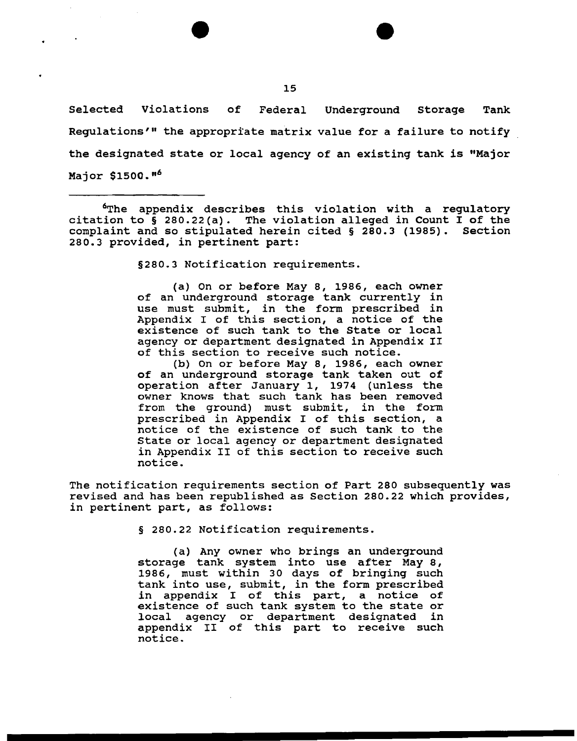Selected Violations of Federal Underground Storage Tank Regulations'" the appropriate matrix value for a failure to notify the designated state or local agency of an existing tank is "Major Major \$1500."<sup>6</sup>

<sup>6</sup>The appendix describes this violation with a regulatory citation to§ 280.22(a). The violation alleged in Count I of the complaint and so stipulated herein cited  $\S$  280.3 (1985). 280.3 provided, in pertinent part:

§280.3 Notification requirements.

(a) On or before May 8, 1986, each owner of an underground storage tank currently in use must submit, in the form prescribed in Appendix I of this section, a notice of the existence of such tank to the State or local agency or department designated in Appendix II of this section to receive such notice.

(b) on or before May 8, 1986, each owner of an underground storage tank taken out of operation after January 1, 1974 (unless the owner knows that such tank has been removed from the ground) must submit, in the form prescribed in Appendix I of this section, a notice of the existence of such tank to the State or local agency or department designated in Appendix II of this section to receive such notice.

The notification requirements section of Part 280 subsequently was revised and has been republished as Section 280.22 which provides, in pertinent part, as follows:

§ 280.22 Notification requirements.

(a) Any owner who brings an underground storage tank system into use after May 8, 1986, must within 30 days of bringing such tank into use, submit, in the form prescribed in appendix I of this part, a notice of existence of such tank system to the state or local agency or department designated in appendix II of this part to receive such notice.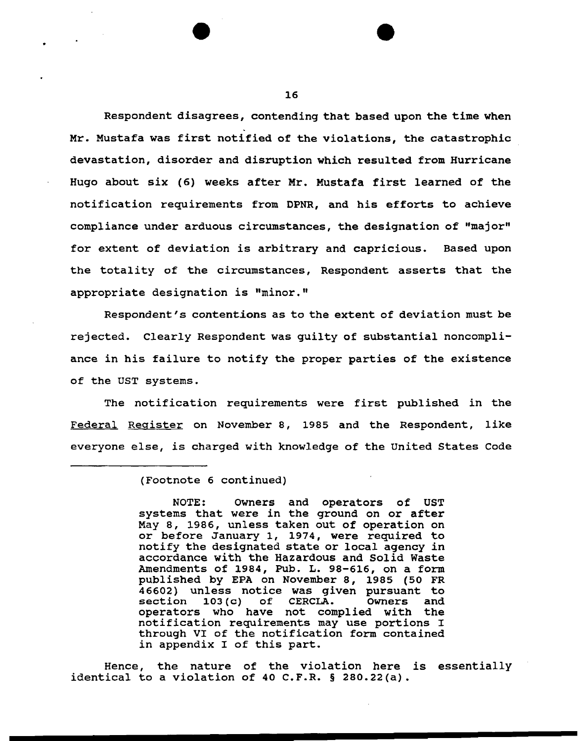Respondent disagrees, contending that based upon the time when . Mr. Mustafa was first notified of the violations, the catastrophic devastation, disorder and disruption which resulted from Hurricane Hugo about six (6) weeks after Mr. Mustafa first learned of the notification requirements from DPNR, and his efforts to achieve compliance under arduous circumstances, the designation of "major" for extent of deviation is arbitrary and capricious. Based upon the totality of the circumstances, Respondent asserts that the appropriate designation is "minor."

Respondent's contentions as to the extent of deviation must be rejected. Clearly Respondent was guilty of substantial noncompliance in his failure to notify the proper parties of the existence of the UST systems.

The notification requirements were first published in the Federal Register on November 8, 1985 and the Respondent, like everyone else, is charged with knowledge of the United States Code

NOTE: owners and operators of UST systems that were in the ground on or after May 8, 1986, unless taken out of operation on or before January 1, 1974, were required to notify the designated state or local agency in accordance with the Hazardous and Solid Waste Amendments of 1984, Pub. L. 98-616, on a form published by EPA on November 8, 1985 (50 FR 46602) unless notice was given pursuant to<br>section 103(c) of CERCLA. Owners and  $103(c)$  of CERCLA. operators who have not complied with the notification requirements may use portions I through VI of the notification form contained in appendix I of this part.

Hence, the nature of the violation here is essentially identical to a violation of 40 C.F.R. § 280.22(a).

<sup>(</sup>Footnote 6 continued)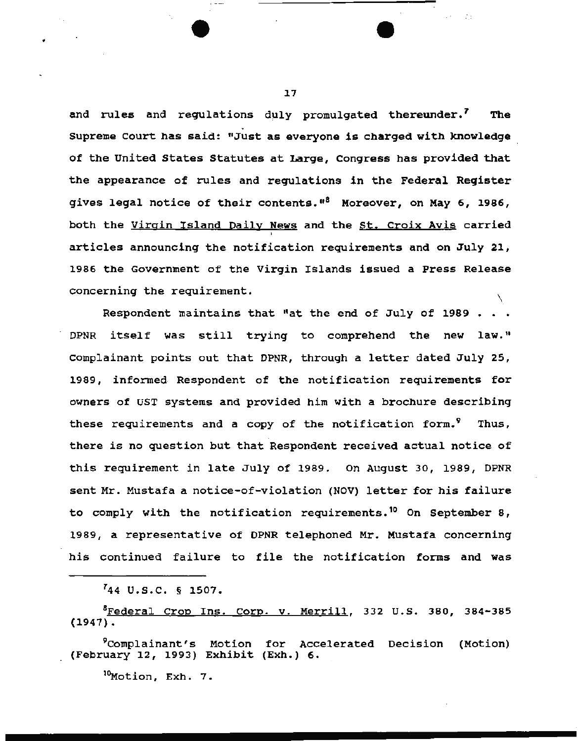and rules and regulations duly promulgated thereunder.<sup>7</sup> The<br>Supreme Court has said: "Just as everyone is charged with knowledge of the United States Statutes at Large, Congress has provided that the appearance of rules and regulations in the Federal Register gives legal notice of their contents."<sup>8</sup> Moreover, on May 6, 1986, both the Virgin Island Daily News and the St. Croix Avis carried articles announcing the notification requirements and on July 21, 1986 the Government of the Virgin Islands issued a Press Release concerning the requirement. \

Respondent maintains that "at the end of July of 1989 • OPNR itself was still trying to comprehend the new law." Complainant points out that OPNR, through a letter dated July 25, 1989, informed Respondent of the notification requirements for owners of UST systems and provided him with a brochure describing these requirements and a copy of the notification form.<sup>9</sup> Thus, there is no question but that Respondent received actual notice of this requirement in late July of 1989. On August 30, 1989, DPNR sent Mr. Mustafa a notice-of-violation (NOV) letter for his failure to comply with the notification requirements.<sup>10</sup> On September 8, 1989, a representative of OPNR telephoned Mr. Mustafa concerning his continued failure to file the notification forms and was

 $744$  U.S.C. § 1507.

<sup>8</sup>Federal Crop Ins. Corp. v. Merrill, 332 U.S. 380, 384-385 (1947).

9complainant's Motion for Accelerated Decision (Motion) (February 12, 1993) Exhibit (Exh.) 6.

 $^{10}$ Motion, Exh. 7.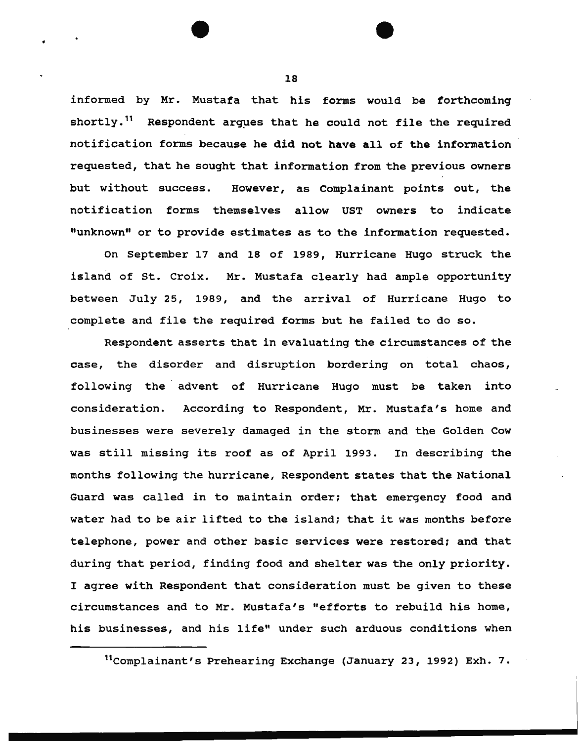informed by Mr. Mustafa that his forms would be forthcoming shortly.<sup>11</sup> Respondent argues that he could not file the required notification forms because he did not have all of the information requested, that he sought that information from the previous owners but without success. However, as complainant points out, the notification forms themselves allow UST owners to indicate "unknown" or to provide estimates as to the information requested.

On September 17 and 18 of 1989, Hurricane Hugo struck the island of st. Croix. Mr. Mustafa clearly had ample opportunity between July 25, 1989, and the arrival of Hurricane Hugo to complete and file the required forms but he failed to do so.

Respondent asserts that in evaluating the circumstances of the case, the disorder and disruption bordering on total chaos, following the advent of Hurricane Hugo must be taken into consideration. According to Respondent, Mr. Mustafa's home and businesses were severely damaged in the storm and the Golden Cow was still missing its roof as of April 1993. In describing the months following the hurricane, Respondent states that the National Guard was called in to maintain order; that emergency food and water had to be air lifted to the island; that it was months before telephone, power and other basic services were restored: and that during that period, finding food and shelter was the only priority. I agree with Respondent that consideration must be given to these circumstances and to Mr. Mustafa's "efforts to rebuild his home, his businesses, and his life" under such arduous conditions when

18

•

<sup>11</sup> complainant's Prehearing Exchange (January 23, 1992) Exh. 7.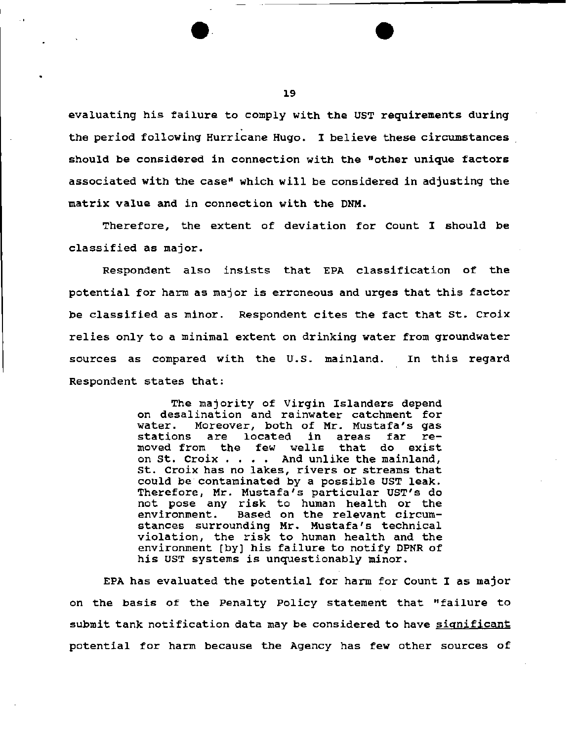evaluating his failure to comply with the UST requirements during . the period following Hurricane Hugo. I believe these circumstances should be considered in connection with the "other unique factors associated with the case" which will be considered in adjusting the matrix value and in connection with the DNM.

Therefore, the extent of deviation for Count I should be classified as major.

Respondent also insists that EPA classification of the potential for harm as major is erroneous and urges that this factor be classified as minor. Respondent cites the fact that st. Croix relies only to a minimal extent on drinking water from groundwater sources as compared with the U.s. mainland. In this regard Respondent states that:

> The majority of Virgin Islanders depend on desalination and rainwater catchment for<br>water. Moreover, both of Mr. Mustafa's gas water. Moreover, both of Mr. Mustafa's gas stations are located in areas far restations are located in areas far re-<br>moved from the few wells that do exist on St. Croix . . . . And unlike the mainland, st. Croix has no lakes, rivers or streams that could be contaminated by a possible UST leak. Therefore, Mr. Mustafa's particular UST's do not pose any risk to human health or the<br>environment. Based on the relevant circum-Based on the relevant circumstances surrounding Mr. Mustafa's technical violation, the risk to human health and the environment [by) his failure to notify DPNR of his UST systems is unquestionably minor.

EPA has evaluated the potential for harm for Count I as major on the basis of the Penalty Policy statement that "failure to submit tank notification data may be considered to have significant potential for harm because the Agency has few other sources of

1.9

·--.. --------------------- e.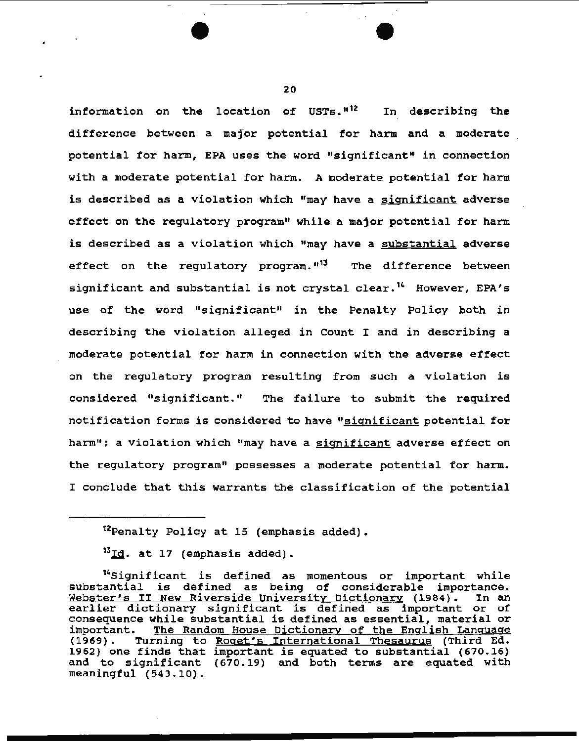information on the location of USTs.<sup>"12</sup> In describing the difference between a major potential for harm and a moderate potential for harm, EPA uses the word "significant" in connection with a moderate potential for harm. A moderate potential for harm is described as a violation which "may have a significant adverse effect on the regulatory program" while a major potential for harm is described as a violation which "may have a substantial adverse effect on the regulatory program."<sup>13</sup> The difference between significant and substantial is not crystal clear.<sup>14</sup> However, EPA's use of the word "significant" in the Penalty Policy both in describing the violation alleged in count I and in describing a moderate potential for harm in connection with the adverse effect on the regulatory program resulting from such a violation is considered "significant." The failure to submit the required notification forms is considered to have "significant potential for harm": a violation which "may have a significant adverse effect on the regulatory program" possesses a moderate potential for harm. I conclude that this warrants the classification of the potential

 $^{13}$ Id. at 17 (emphasis added).

<sup>12</sup>Penalty Policy at 15 (emphasis added).

<sup>14</sup>Significant is defined as momentous or important while substantial is defined as momentous of important while<br>substantial is defined as being of considerable importance. substantial is defined as being of considerable importance.<br><u>Webster's II New Riverside University Dictionary</u> (1984). In an Webster's II New Riverside University Dictionary (1984). In an earlier dictionary significant is defined as important or of consequence while substantial is defined as essential, material or important. <u>The Random House Dictionary of the English Language</u><br>(1969). Turning to <u>Roqet's International Thesaurus</u> (Third Ed. Turning to Roget's International Thesaurus (Third Ed. 1962) one finds that important is equated to substantial (670.16) and to significant (670.19) and both terms are equated with meaningful (543.10).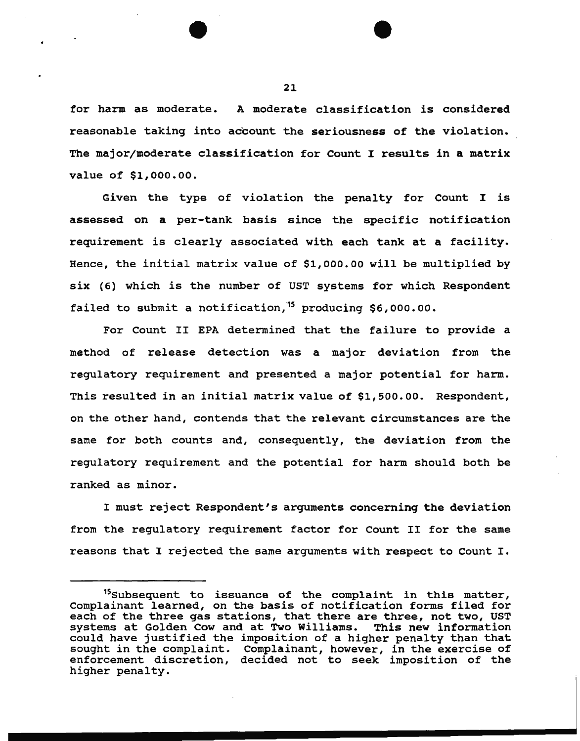for harm as moderate. A moderate classification is considered reasonable taking into account the seriousness of the violation. The major/moderate classification for Count I results in a matrix value of \$1,000.00.

Given the type of violation the penalty for Count I is assessed on a per-tank basis since the specific notification requirement is clearly associated with each tank at a facility. Hence, the initial matrix value of \$1,000.00 will be multiplied by six (6) which is the number of UST systems for which Respondent failed to submit a notification,<sup>15</sup> producing \$6,000.00.

For Count II EPA determined that the failure to provide a method of release detection was a major deviation from the regulatory requirement and presented a major potential for harm. This resulted in an initial matrix value of \$1,500.00. Respondent, on the other hand, contends that the relevant circumstances are the same for both counts and, consequently, the deviation from the regulatory requirement and the potential for harm should both be ranked as minor.

I must reject Respondent's arguments concerning the deviation from the regulatory requirement factor for Count II for the same reasons that I rejected the same arguments with respect to Count I.

<sup>&</sup>lt;sup>15</sup>Subsequent to issuance of the complaint in this matter, Complainant learned, on the basis of notification forms filed for each of the three gas stations, that there are three, not two, UST systems at Golden Cow and at Two Williams. This new information could have justified the imposition of a higher penalty than that sought in the complaint. Complainant, however, in the exercise of enforcement discretion, decided not to seek imposition of the higher penalty.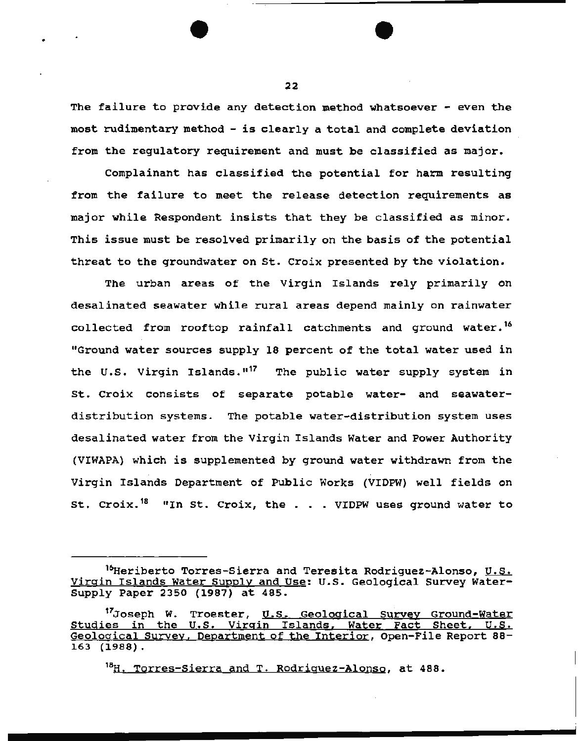The failure to provide any detection method whatsoever - even the most rudimentary method - is clearly a total and complete deviation from the regulatory requirement and must be classified as major.

Complainant has classified the potential for harm resulting from the failure to meet the release detection requirements as major while Respondent insists that they be classified as minor. This issue must be resolved primarily on the basis of the potential threat to the groundwater on St. Croix presented by the violation.

The urban areas of the Virgin Islands rely primarily on desalinated seawater while rural areas depend mainly on rainwater collected from rooftop rainfall catchments and ground water.<sup>16</sup> "Ground water sources supply 18 percent of the total water used in the U.S. Virgin Islands.<sup>"17</sup> The public water supply system in St. Croix consists of separate potable water- and seawaterdistribution systems. The potable water-distribution system uses desalinated water from the Virgin Islands Water and Power Authority (VIWAPA) which is supplemented by ground water withdrawn from the Virgin Islands Department of Public Works (VIDPW) well fields on St. Croix.<sup>18</sup> "In St. Croix, the . . . VIDPW uses ground water to

<sup>18</sup>H. Torres-Sierra and T. Rodriquez-Alonso, at 488.

22

 $\bullet$   $\overline{\bullet}$   $\overline{\bullet}$ 

<sup>&</sup>lt;sup>16</sup>Heriberto Torres-Sierra and Teresita Rodriguez-Alonso, U.S. Virgin Islands Water Supply and Use: u.s. Geological survey Water-Supply Paper 2350 (1987) at 485.

<sup>&</sup>lt;sup>17</sup>Joseph W. Troester, U.S. Geological Survey Ground-Water Studies in the U.S. Virgin Islands, Water Fact Sheet. U.S. Geological Survey, Department of the Interior, Open-File Report 88- 163 (1988).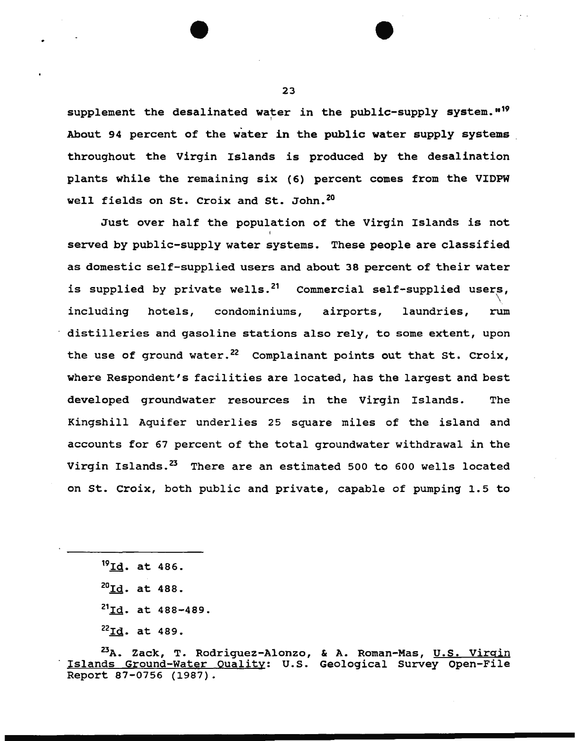supplement the desalinated water in the public-supply system."<sup>19</sup> About 94 percent of the water in the public water supply systems throughout the Virgin Islands is produced by the desalination plants while the remaining six (6) percent comes from tne VIDPW well fields on St. Croix and St. John.<sup>20</sup>

Just over half the population of the Virgin Islands is not I served by public-supply water systems. These people are classified as domestic self-supplied users and about 38 percent of their water is supplied by private wells. $^{21}$  Commercial self-supplied users, including hotels, condominiums, airports, laundries, rum distilleries and gasoline stations also rely, to some extent, upon the use of ground water.<sup>22</sup> Complainant points out that St. Croix, where Respondent's facilities are located, has the largest and best developed groundwater resources in the Virgin Islands. The Kingshill Aquifer underlies 25 square miles of the island and accounts for 67 percent of the total groundwater withdrawal *in* the Virgin Islands.<sup>23</sup> There are an estimated 500 to 600 wells located on St. Croix, both public and private, capable of pumping 1.5 to

- $^{20}$ Id. at 488.
- $^{21}$ Id. at 488-489.
- $^{22}$ Id. at 489.

23

 $\bullet$   $\bullet$ 

<sup>19</sup>Id. at 486.

<sup>&</sup>lt;sup>23</sup>A. Zack, T. Rodriguez-Alonzo, & A. Roman-Mas, <u>U.S. Virgin</u> Islands Ground-Water Quality: U.S. Geological Survey Open-File Report 87-0756 (1987).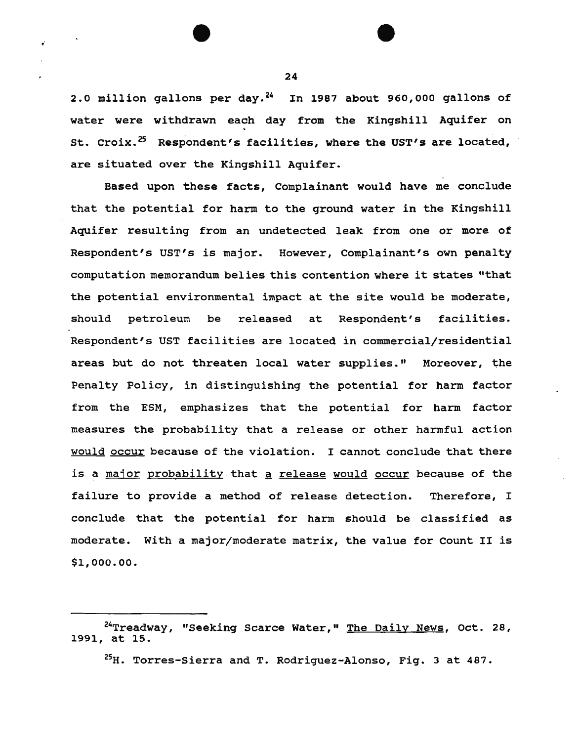2.0 million gallons per day. $24$  In 1987 about 960,000 gallons of water were withdrawn each day from the Kingshill Aquifer on St. Croix.<sup>25</sup> Respondent's facilities, where the UST's are located, are situated over the Kingshill Aquifer.

Based upon these facts, Complainant would have me conclude that the potential for harm to the ground water in the Kingshill Aquifer resulting from an undetected leak from one or more of Respondent's UST's is major. However, Complainant's own penalty computation memorandum belies this contention where it states "that the potential environmental impact at the site would be moderate, should petroleum be released at Respondent's facilities. Respondent's UST facilities are located in commercial/residential areas but do not threaten local water supplies." Moreover, the Penalty Policy, in distinguishing the potential for harm factor from the ESM, emphasizes that the potential for harm factor measures the probability that a release or other harmful action would occur because of the violation. I cannot conclude that there is a major probability that a release would occur because of the failure to provide a method of release detection. Therefore, I conclude that the potential for harm should be classified as moderate. With a major/moderate matrix, the value for Count II is \$1,000.00.

24

لما

<sup>&</sup>lt;sup>24</sup>Treadway, "Seeking Scarce Water," The Daily News, Oct. 28, 1991, at 15.

<sup>25</sup>H. Torres-Sierra and T. Rodriquez-Alonso, Fig. 3 at 487.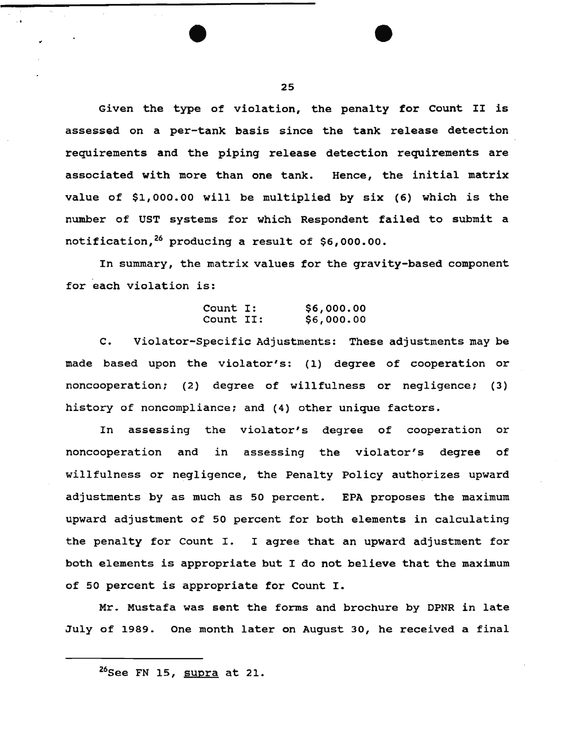Given the type of violation, the penalty for Count II is assessed on a per-tank basis since the tank release detection requirements and the piping release detection requirements are associated with more than one tank. Hence, the initial matrix value of \$1,000.00 will be multiplied by six (6) which is the number of UST systems for which Respondent failed to submit a notification, 26 producing a result of \$6,000.00.

In summary, the matrix values for the gravity-based component for each violation is:

#### Count I: Count II: \$6,000.00 \$6,000.00

C. Violator-Specific Adjustments: These adjustments may be made based upon the violator's: (1) degree of cooperation or noncooperation; (2) degree of willfulness or negligence; (3) history of noncompliance; and (4) other unique factors.

In assessing the violator's degree of cooperation or noncooperation and in assessing the violator's degree of willfulness or negligence, the Penalty Policy authorizes upward adjustments by as much as 50 percent. EPA proposes the maximum upward adjustment of so percent for both elements in calculating the penalty for Count I. I agree that an upward adjustment for both elements is appropriate but I do not believe that the maximum of 50 percent is appropriate for Count I.

Mr. Mustafa was sent the forms and brochure by DPNR in late July of 1989. One month later on August 30, he received a final

<sup>&</sup>lt;sup>26</sup>See FN 15, supra at 21.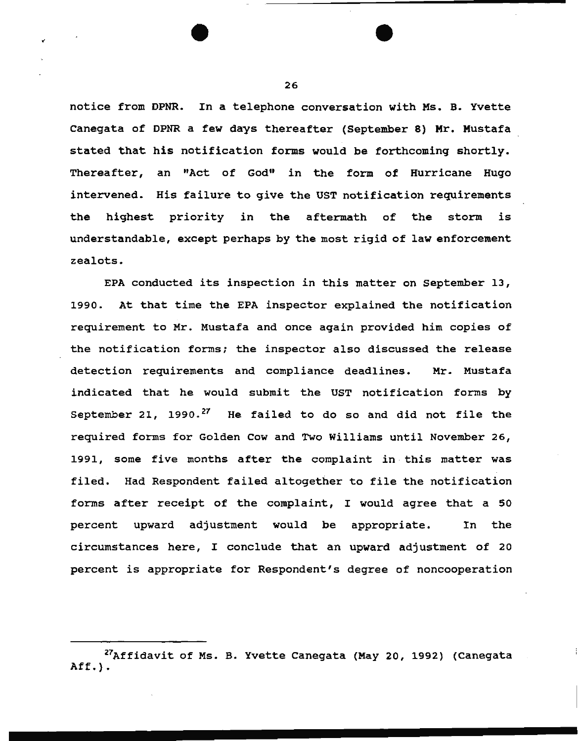notice from DPNR. In a telephone conversation with Ms. B. Yvette canegata of DPNR a few days thereafter (September 8) Mr. Mustafa stated that his notification forms would be forthcoming shortly. Thereafter, an "Act of God" in the form of Hurricane Hugo intervened. His failure to give the UST notification requirements the highest priority in the aftermath of the storm is understandable, except perhaps by the most rigid of law enforcement zealots.

EPA conducted its inspection in this matter on September 13, 1990. At that time the EPA inspector explained the notification requirement to Mr. Mustafa and once again provided him copies of the notification forms; the inspector also discussed the release detection requirements and compliance deadlines. Mr. Mustafa indicated that he would submit the UST notification forms by September 21,  $1990.^{27}$  He failed to do so and did not file the required forms for Golden Cow and Two Williams until November 26, 1991, some five months after the complaint in this matter was filed. Had Respondent failed altogether to file the notification forms after receipt of the complaint, I would agree that a <sup>50</sup> percent upward adjustment would be appropriate. In the circumstances here, I conclude that an upward adjustment of 20 percent is appropriate for Respondent's degree of noncooperation

<sup>&</sup>lt;sup>27</sup>Affidavit of Ms. B. Yvette Canegata (May 20, 1992) (Canegata Aff.) •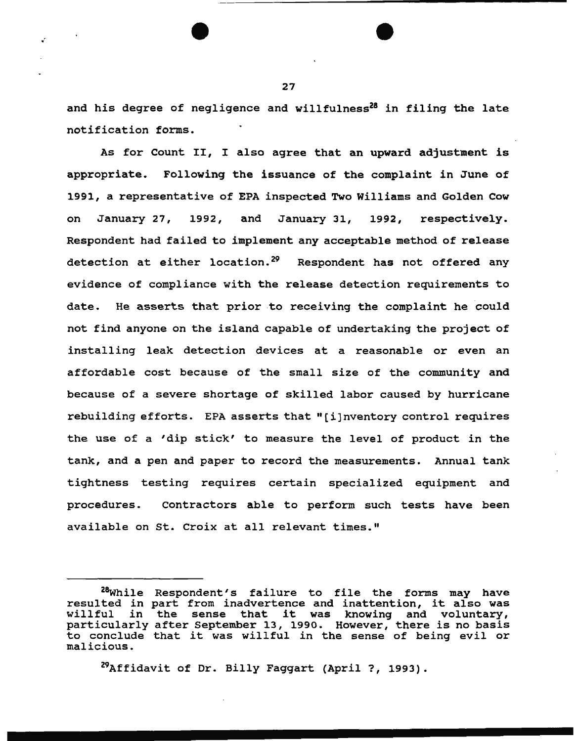and his degree of negligence and willfulness $^{28}$  in filing the late notification forms.

As for Count II, I also agree that an upward adjustment is appropriate. Following the issuance of the complaint in June of 1991, a representative of EPA inspected Two Williams and Golden Cow on January 27, 1992, and January 31, 1992, respectively. Respondent had failed to implement any acceptable method of release detection at either location.<sup>29</sup> Respondent has not offered any evidence of compliance with the release detection requirements to date. He asserts that prior to receiving the complaint he could not find anyone on the island capable of undertaking the project of installing leak detection devices at a reasonable or even an affordable cost because of the small size of the community and because of a severe shortage of skilled labor caused by hurricane rebuilding efforts. EPA asserts that " ( i] nventory control requires the use of a 'dip stick' to measure the level of product in the tank, and a pen and paper to record the measurements. Annual tank tightness testing requires certain specialized equipment and procedures. contractors able to perform such tests have been available on St. Croix at all relevant times."

<sup>29</sup>Affidavit of Dr. Billy Faggart (April ?, 1993).

<sup>28</sup>while Respondent's failure to file the forms may have resulted in part from inadvertence and inattention, it also was in the sense that it was knowing and voluntary, particularly after September 13, 1990. However, there is no basis to conclude that it was willful in the sense of being evil or malicious.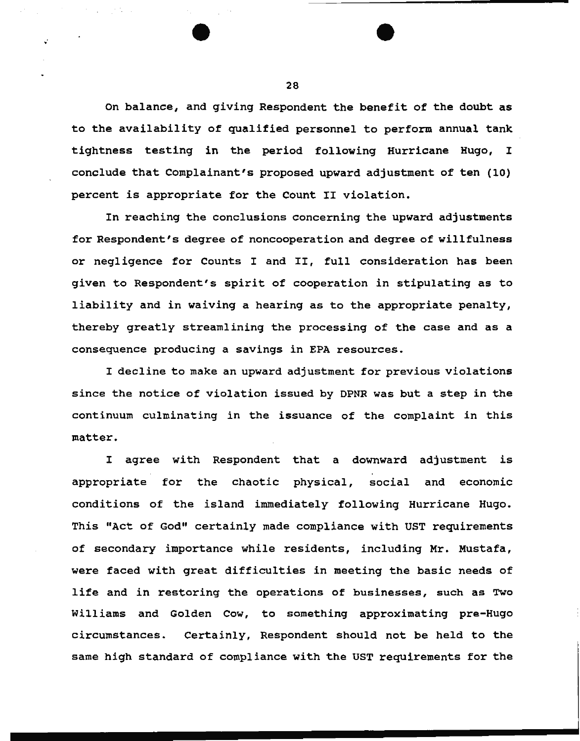On balance, and giving Respondent the benefit of the doubt as to the availability of qualified personnel to perform annual tank tightness testing in the period following Hurricane Hugo, I conclude that Complainant's proposed upward adjustment of ten (10) percent is appropriate for the Count II violation.

In reaching the conclusions concerning the upward adjustments for Respondent's degree of noncooperation and degree of willfulness or negligence for Counts I and II, full consideration has been given to Respondent's spirit of cooperation in stipulating as to liability and in waiving a hearing as to the appropriate penalty, thereby greatly streamlining the processing of the case and as a consequence producing a savings in EPA resources.

I decline to make an upward adjustment for previous violations since the notice of violation issued by DPNR was but a step in the continuum culminating in the issuance of the complaint in this matter.

I agree with Respondent that a downward adjustment is appropriate for the chaotic physical, social and economic conditions of the island immediately following Hurricane Hugo. This "Act of God" certainly made compliance with UST requirements of secondary importance while residents, including Mr. Mustafa, were faced with great difficulties in meeting the basic needs of life and in restoring the operations of businesses, such as Two Williams and Golden Cow, to something approximating pre-Hugo circumstances. Certainly, Respondent should not be held to the same high standard of compliance with the UST requirements for the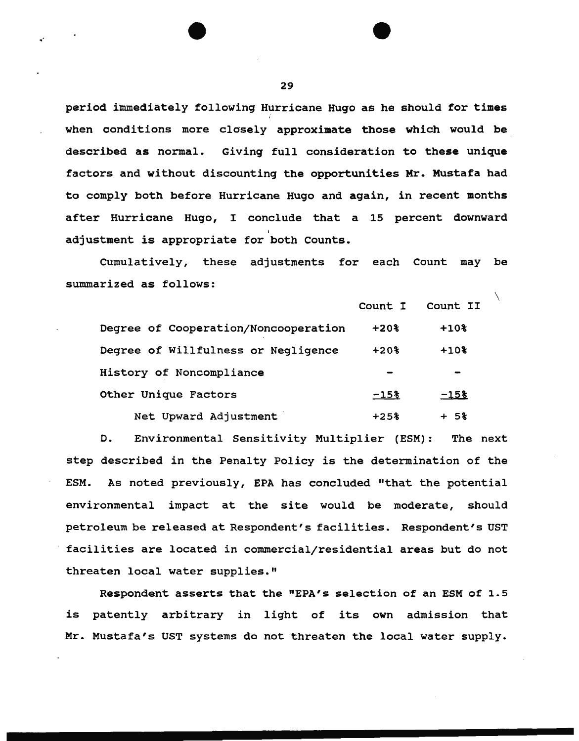period immediately following Hurricane Hugo as he should for times when conditions more closely approximate those which would be described as normal. Giving full consideration to these unique factors and without discounting the opportunities Mr. Mustafa had to comply both before Hurricane Hugo and again, in recent months after Hurricane Hugo, I conclude that a 15 percent downward adjustment is appropriate for <sup>b</sup>oth Counts.

CUmulatively, these adjustments for each Count may be summarized as follows:

|                                      | Count I   | Count II           |  |
|--------------------------------------|-----------|--------------------|--|
| Degree of Cooperation/Noncooperation | $+20$ $*$ | $+10$ <sup>2</sup> |  |
| Degree of Willfulness or Negligence  | $+20%$    | $+102$             |  |
| History of Noncompliance             |           |                    |  |
| Other Unique Factors                 | $-15$     | $-158$             |  |
| Net Upward Adjustment                | $+25%$    | -58                |  |

D. Environmental Sensitivity Multiplier (ESM): The next step described in the Penalty Policy is the determination of the ESM. As noted previously, EPA has concluded "that the potential environmental impact at the site would be moderate, should petroleum be released at Respondent's facilities. Respondent's UST facilities are located in commercial/residential areas but do not threaten local water supplies."

Respondent asserts that the "EPA's selection of an ESM of 1.5 is patently arbitrary in light of its own admission that Mr. Mustafa's UST systems do not threaten the local water supply.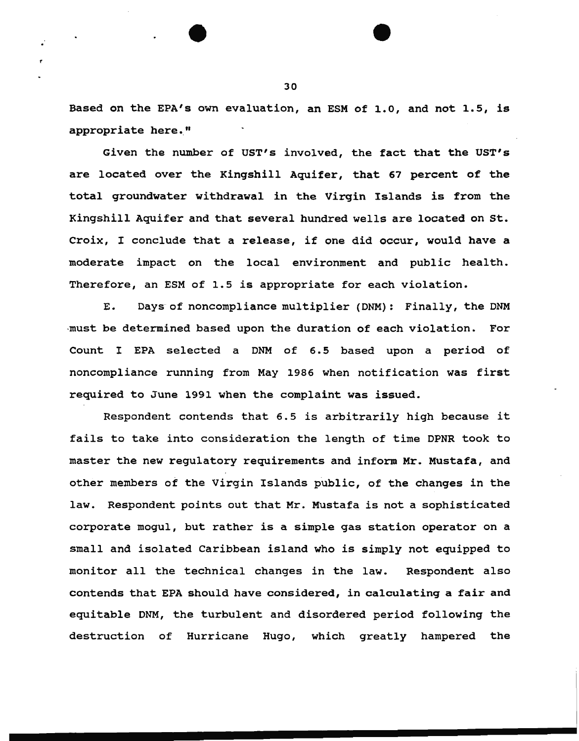Based on the EPA's own evaluation, an ESM of 1.0, and not 1.5, is appropriate here."

Given the number of UST's involved, the fact that the UST's are located over the Kingshill Aquifer, that 67 percent of the total groundwater withdrawal in the Virgin Islands is from the Kingshill Aquifer and that several hundred wells are located on st. Croix, I conclude that a release, if one did occur, would have a moderate impact on the local environment and public health. Therefore, an ESM of 1.5 is appropriate for each violation.

E. Days of noncompliance multiplier (DNM): Finally, the DNM -must be determined based upon the duration of each violation. For Count I EPA selected a DNM of 6.5 based upon a period of noncompliance running from May 1986 when notification was first required to June 1991 when the complaint was issued.

Respondent contends that 6.5 is arbitrarily high because it fails to take into consideration the length of time DPNR took to master the new regulatory requirements and inform Mr. Mustafa, and other members of the Virgin Islands public, of the changes in the law. Respondent points out that Mr. Mustafa is not a sophisticated corporate mogul, but rather is a simple gas station operator on a small and isolated Caribbean island who is simply not equipped to monitor all the technical changes in the law. Respondent also contends that EPA should have considered, in calculating a fair and equitable DNM, the turbulent and disordered period following the destruction of Hurricane Hugo, which greatly hampered the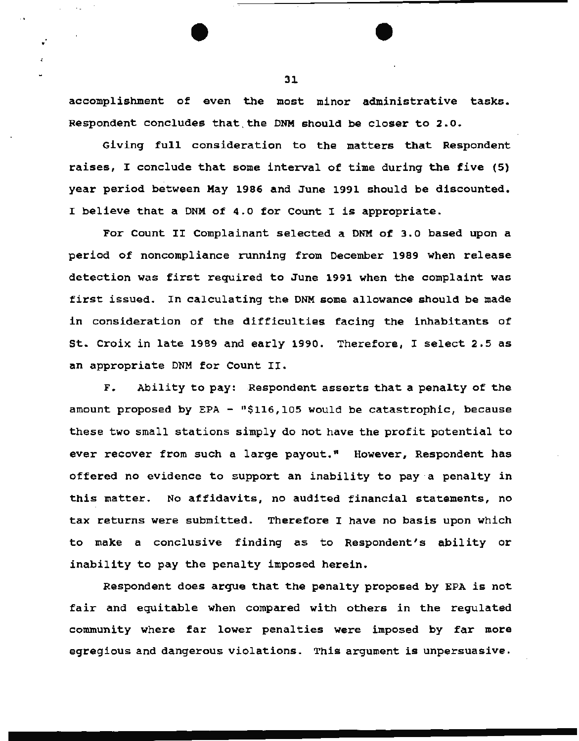accomplishment of even the most minor administrative tasks. Respondent concludes that.the DNM should be closer to 2.0.

Giving full consideration to the matters that Respondent raises, I conclude that some interval of time during the five (5) year period between May 1986 and June 1991 should be discounted. I believe that a DNM of 4.0 for Count I is appropriate.

For Count II Complainant selected a DNM of 3.0 based upon a period of noncompliance running from December 1989 when release detection was first required to June 1991 when the complaint was first issued. In calculating the DNM some allowance should be made in consideration of the difficulties facing the inhabitants of st. croix in late 1989 and early 1990. Therefore, I select 2.5 as an appropriate DNM for Count II.

F. Ability to pay: Respondent asserts that a penalty of the amount proposed by EPA - " $$116,105$  would be catastrophic, because these two small stations simply do not have the profit potential to ever recover from such a large payout." However, Respondent has offered no evidence to support an inability to pay a penalty in this matter. No affidavits, no audited financial statements, no tax returns were submitted. Therefore I have no basis upon which to make a conclusive finding as to Respondent's ability or inability to pay the penalty imposed herein.

Respondent does argue that the penalty proposed by EPA is not fair and equitable when compared with others in the regulated community where far lower penalties were imposed by far more egregious and dangerous violations. This argument is unpersuasive.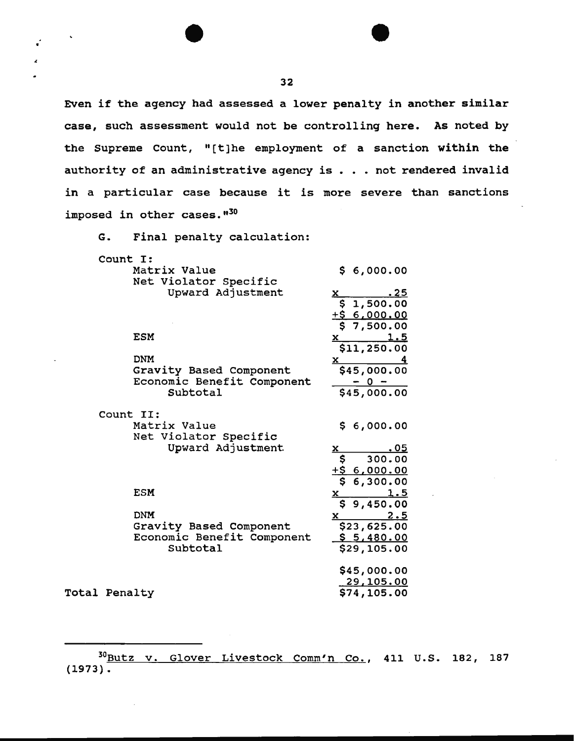Even if the agency had assessed a lower penalty in another similar case, such assessment would not be controlling here. As noted by the Supreme Count, "[t]he employment of a sanction within the authority of an administrative agency is  $. . .$  not rendered invalid in a particular case because it is more severe than sanctions imposed in other cases."30

G. Final penalty calculation:

•

| Count I:             |                            |                                                                                                                                                                                                                                                                                                                                               |
|----------------------|----------------------------|-----------------------------------------------------------------------------------------------------------------------------------------------------------------------------------------------------------------------------------------------------------------------------------------------------------------------------------------------|
|                      | Matrix Value               | \$6,000.00                                                                                                                                                                                                                                                                                                                                    |
|                      | Net Violator Specific      |                                                                                                                                                                                                                                                                                                                                               |
|                      | Upward Adjustment          | <u>. 25</u><br><u>x</u>                                                                                                                                                                                                                                                                                                                       |
|                      |                            | \$1,500.00                                                                                                                                                                                                                                                                                                                                    |
|                      |                            | <u> +\$ 6,000.00</u>                                                                                                                                                                                                                                                                                                                          |
|                      |                            | 57,500.00                                                                                                                                                                                                                                                                                                                                     |
|                      | <b>ESM</b>                 | $\frac{1.5}{2}$<br>X                                                                                                                                                                                                                                                                                                                          |
|                      |                            | \$11,250.00                                                                                                                                                                                                                                                                                                                                   |
|                      | <b>DNM</b>                 | $\mathbf{x}$                                                                                                                                                                                                                                                                                                                                  |
|                      | Gravity Based Component    | \$45,000.00                                                                                                                                                                                                                                                                                                                                   |
|                      | Economic Benefit Component | $-0 -$                                                                                                                                                                                                                                                                                                                                        |
|                      | Subtotal                   | \$45,000.00                                                                                                                                                                                                                                                                                                                                   |
|                      | Count II:                  |                                                                                                                                                                                                                                                                                                                                               |
|                      | Matrix Value               | \$6,000.00                                                                                                                                                                                                                                                                                                                                    |
|                      | Net Violator Specific      |                                                                                                                                                                                                                                                                                                                                               |
|                      | Upward Adjustment          | x<br><u>.os</u>                                                                                                                                                                                                                                                                                                                               |
|                      |                            | 300.00<br>\$                                                                                                                                                                                                                                                                                                                                  |
|                      |                            | <u>+\$ 6,000.00</u>                                                                                                                                                                                                                                                                                                                           |
|                      |                            | 6,300.00                                                                                                                                                                                                                                                                                                                                      |
|                      | ESM                        | <u>1.5</u><br><u>x</u>                                                                                                                                                                                                                                                                                                                        |
|                      |                            | \$9,450.00                                                                                                                                                                                                                                                                                                                                    |
|                      | <b>DNM</b>                 | <u>2.5</u><br>$\mathbf x$ and $\mathbf x$ and $\mathbf x$ and $\mathbf x$ and $\mathbf x$ and $\mathbf x$ and $\mathbf x$ and $\mathbf x$ and $\mathbf x$ and $\mathbf x$ and $\mathbf x$ and $\mathbf x$ and $\mathbf x$ and $\mathbf x$ and $\mathbf x$ and $\mathbf x$ and $\mathbf x$ and $\mathbf x$ and $\mathbf x$ and $\mathbf x$ and |
|                      | Gravity Based Component    | \$23,625.00                                                                                                                                                                                                                                                                                                                                   |
|                      | Economic Benefit Component | <u>\$5,480.00</u>                                                                                                                                                                                                                                                                                                                             |
|                      | Subtotal                   | \$29,105.00                                                                                                                                                                                                                                                                                                                                   |
|                      |                            | \$45,000.00                                                                                                                                                                                                                                                                                                                                   |
|                      |                            | 29,105.00                                                                                                                                                                                                                                                                                                                                     |
| <b>Total Penalty</b> |                            | \$74,105.00                                                                                                                                                                                                                                                                                                                                   |

<sup>30</sup>Butz v. Glover Livestock Comm'n Co., 411 u.s. 182, 187 (1973).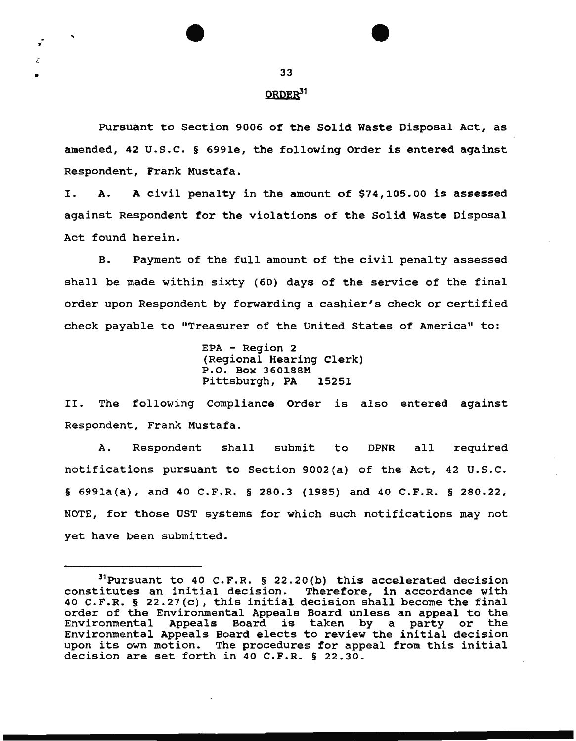•

. 11

•

 $\varepsilon$ 

# ORDER<sup>31</sup>

Pursuant to Section 9006 of the Solid Waste Disposal Act, as amended, 42 u.s.c. § 699le, the following Order is entered against Respondent, Frank Mustafa.

I. A. A civil penalty in the amount of \$74,105.00 is assessed against Respondent for the violations of the Solid Waste Disposal Act found herein.

B. Payment of the full amount of the civil penalty assessed shall be made within sixty (60) days of the service of the final order upon Respondent by forwarding a cashier's check or certified check payable to "Treasurer of the United States of America" to:

```
EPA - Region 2 
(Regional Hearing Clerk) 
P.O. Box 360188M 
Pittsburgh, PA 15251
```
II. The following Compliance Order is also entered against Respondent, Frank Mustafa.

A. Respondent shall submit to DPNR all required notifications pursuant to Section 9002(a) of the Act, 42 u.s.c. § 699la(a), and 40 C.F.R. § 280.3 (1985) and 40 C.F.R. § 280.22, NOTE, for those UST systems for which such notifications may not yet have been submitted.

 $31$  Pursuant to 40 C.F.R. § 22.20(b) this accelerated decision constitutes an initial decision. Therefore, in accordance with 40 C.F.R. § 22.27(c), this initial decision shall become the final order of the Environmental Appeals Board unless an appeal to the Environmental Appeals Board is taken by a party or the Environmental Appeals Board elects to review the initial decision upon its own motion. The procedures for appeal from this initial decision are set forth in 40 C.F.R. § 22.30.